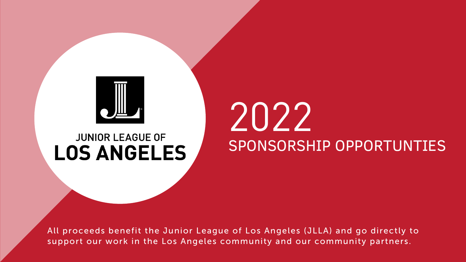

### **JUNIOR LEAGUE OF LOS ANGELES**

All proceeds benefit the Junior League of Los Angeles (JLLA) and go directly to support our work in the Los Angeles community and our community partners.

# 2022 SPONSORSHIP OPPORTUNTIES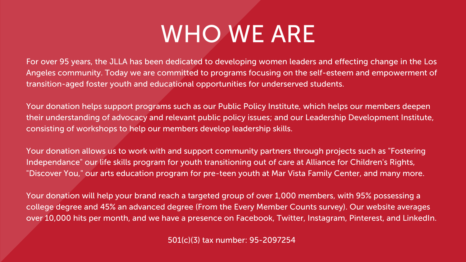For over 95 years, the JLLA has been dedicated to developing women leaders and effecting change in the Los Angeles community. Today we are committed to programs focusing on the self-esteem and empowerment of transition-aged foster youth and educational opportunities for underserved students.

Your donation allows us to work with and support community partners through projects such as "Fostering Independance" our life skills program for youth transitioning out of care at Alliance for Children' s Rights, "Discover You," our arts education program for pre-teen youth at Mar Vista Family Center, and many more.

Your donation helps support programs such as our Public Policy Institute, which helps our members deepen their understanding of advocacy and relevant public policy issues; and our Leadership Development Institute, consisting of workshops to help our members develop leadership skills.

Your donation will help your brand reach a targeted group of over 1,000 members, with 95% possessing a college degree and 45% an advanced degree (From the Every Member Counts survey). Our website averages over 10,000 hits per month, and we have a presence on Facebook, Twitter, Instagram, Pinterest, and LinkedIn.

501(c)(3) tax number: 95-2097254

## WHO WE ARE